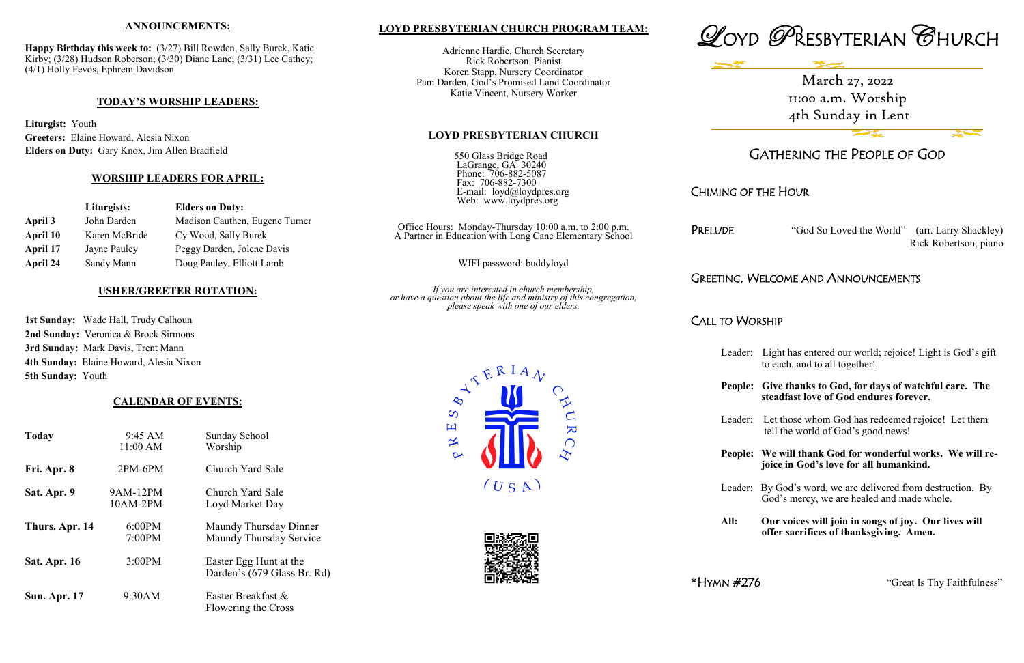# **LOYD PRESBYTERIAN CHURCH PROGRAM TEAM:**

Adrienne Hardie, Church Secretary Rick Robertson, Pianist Koren Stapp, Nursery Coordinator Pam Darden, God's Promised Land Coordinator Katie Vincent, Nursery Worker

### **LOYD PRESBYTERIAN CHURCH**

"God So Loved the World" (arr. Larry Shackley) Rick Robertson, piano

# **IELCOME AND ANNOUNCEMENTS**

# RSHIP

| 550 Glass Bridge Road<br>LaGrange, GA 30240<br>Phone: 706-882-5087                                                                                          | G                  |
|-------------------------------------------------------------------------------------------------------------------------------------------------------------|--------------------|
| Fax: 706-882-7300<br>E-mail: loyd@loydpres.org<br>Web: www.loydpres.org                                                                                     | CHIMING OF T       |
| Office Hours: Monday-Thursday 10:00 a.m. to 2:00 p.m.<br>A Partner in Education with Long Cane Elementary School                                            | PRELUDE            |
| WIFI password: buddyloyd                                                                                                                                    |                    |
| If you are interested in church membership,<br>or have a question about the life and ministry of this congregation,<br>please speak with one of our elders. | <b>GREETING, W</b> |
|                                                                                                                                                             | <b>CALL TO WOR</b> |
|                                                                                                                                                             | Leader:            |
| $\lambda^{\mathcal{R}}$ ERIAN                                                                                                                               | People:            |
| AURC<br>ပ<br>口                                                                                                                                              | Leader:            |
| ∝                                                                                                                                                           | People:            |
| (USA)                                                                                                                                                       | Leader:            |



Light has entered our world; rejoice! Light is God's gift to each, and to all together!

Give thanks to God, for days of watchful care. The  **steadfast love of God endures forever.**

Let those whom God has redeemed rejoice! Let them tell the world of God's good news!

We will thank God for wonderful works. We will re **joice in God's love for all humankind.**





Leader: By God's word, we are delivered from destruction. By God's mercy, we are healed and made whole.

**All: Our voices will join in songs of joy. Our lives will offer sacrifices of thanksgiving. Amen.**

**\***HYMN #276 "Great Is Thy Faithfulness"

## **ANNOUNCEMENTS:**

**Happy Birthday this week to:** (3/27) Bill Rowden, Sally Burek, Katie Kirby; (3/28) Hudson Roberson; (3/30) Diane Lane; (3/31) Lee Cathey; (4/1) Holly Fevos, Ephrem Davidson

### **TODAY'S WORSHIP LEADERS:**

**Liturgist:** Youth **Greeters:** Elaine Howard, Alesia Nixon **Elders on Duty:** Gary Knox, Jim Allen Bradfield

### **WORSHIP LEADERS FOR APRIL:**

|          | Liturgists:   | <b>Elders on Duty:</b>         |
|----------|---------------|--------------------------------|
| April 3  | John Darden   | Madison Cauthen, Eugene Turner |
| April 10 | Karen McBride | Cy Wood, Sally Burek           |
| April 17 | Jayne Pauley  | Peggy Darden, Jolene Davis     |
| April 24 | Sandy Mann    | Doug Pauley, Elliott Lamb      |

## **USHER/GREETER ROTATION:**

**1st Sunday:** Wade Hall, Trudy Calhoun **2nd Sunday:** Veronica & Brock Sirmons **3rd Sunday:** Mark Davis, Trent Mann **4th Sunday:** Elaine Howard, Alesia Nixon **5th Sunday:** Youth

## **CALENDAR OF EVENTS:**

| <b>Today</b>        | $9:45 \text{ AM}$<br>11:00 AM | <b>Sunday School</b><br>Worship                       |
|---------------------|-------------------------------|-------------------------------------------------------|
| Fri. Apr. 8         | $2PM-6PM$                     | Church Yard Sale                                      |
| Sat. Apr. 9         | 9AM-12PM<br>$10AM-2PM$        | Church Yard Sale<br>Loyd Market Day                   |
| Thurs. Apr. 14      | 6:00PM<br>7:00PM              | Maundy Thursday Dinner<br>Maundy Thursday Service     |
| <b>Sat. Apr. 16</b> | 3:00PM                        | Easter Egg Hunt at the<br>Darden's (679 Glass Br. Rd) |
| <b>Sun. Apr. 17</b> | 9:30AM                        | Easter Breakfast &<br>Flowering the Cross             |

March 27, 2022 11:00 a.m. Worship 4th Sunday in Lent

# **GATHERING THE PEOPLE OF GOD**

# THE HOUR